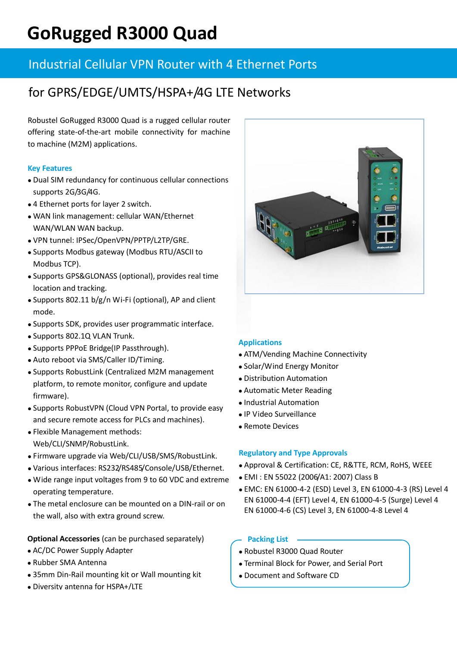# **GoRugged R3000 Quad**

# Industrial Cellular VPN Router with 4 Ethernet Ports

# for GPRS/EDGE/UMTS/HSPA+/4G LTE Networks

Robustel GoRugged R3000 Quad is a rugged cellular router offering state-of-the-art mobile connectivity for machine to machine (M2M) applications.

# **Key Features**

- Dual SIM redundancy for continuous cellular connections supports 2G/3G/4G.
- 4 Ethernet ports for layer 2 switch.
- WAN link management: cellular WAN/Ethernet WAN/WLAN WAN backup.
- VPN tunnel: IPSec/OpenVPN/PPTP/L2TP/GRE.
- Supports Modbus gateway (Modbus RTU/ASCII to Modbus TCP).
- Supports GPS&GLONASS (optional), provides real time location and tracking.
- Supports 802.11 b/g/n Wi-Fi (optional), AP and client mode.
- Supports SDK, provides user programmatic interface.
- Supports 802.1Q VLAN Trunk.
- Supports PPPoE Bridge(IP Passthrough).
- Auto reboot via SMS/Caller ID/Timing.
- Supports RobustLink (Centralized M2M management platform, to remote monitor, configure and update firmware).
- Supports RobustVPN (Cloud VPN Portal, to provide easy and secure remote access for PLCs and machines).
- Flexible Management methods: Web/CLI/SNMP/RobustLink.
- Firmware upgrade via Web/CLI/USB/SMS/RobustLink.
- Various interfaces: RS232/RS485/Console/USB/Ethernet.
- Wide range input voltages from 9 to 60 VDC and extreme operating temperature.
- The metal enclosure can be mounted on a DIN-rail or on the wall, also with extra ground screw.

# **Optional Accessories** (can be purchased separately)

- AC/DC Power Supply Adapter
- Rubber SMA Antenna
- 35mm Din-Rail mounting kit or Wall mounting kit
- Diversity antenna for HSPA+/LTE

# **Applications**

- ATM/Vending Machine Connectivity
- Solar/Wind Energy Monitor
- Distribution Automation
- Automatic Meter Reading
- Industrial Automation
- IP Video Surveillance
- Remote Devices

# **Regulatory and Type Approvals**

- Approval & Certification: CE, R&TTE, RCM, RoHS, WEEE
- EMI : EN 55022 (2006/A1: 2007) Class B
- EMC: EN 61000-4-2 (ESD) Level 3, EN 61000-4-3 (RS) Level 4 EN 61000-4-4 (EFT) Level 4, EN 61000-4-5 (Surge) Level 4 EN 61000-4-6 (CS) Level 3, EN 61000-4-8 Level 4

# **Packing List**

- Robustel R3000 Quad Router
- Terminal Block for Power, and Serial Port
- Document and Software CD